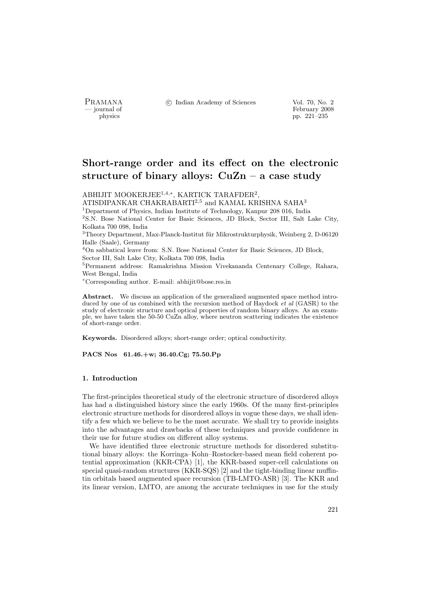PRAMANA °c Indian Academy of Sciences Vol. 70, No. 2

physics<br>
and the settlement of February 2008<br>
pp. 221–235 pp. 221–235

# Short-range order and its effect on the electronic structure of binary alloys:  $CuZn - a$  case study

ABHIJIT MOOKERJEE<sup>1,4,\*</sup>, KARTICK TARAFDER<sup>2</sup>,

ATISDIPANKAR CHAKRABARTI<sup>2,5</sup> and KAMAL KRISHNA SAHA<sup>3</sup>

<sup>1</sup>Department of Physics, Indian Institute of Technology, Kanpur 208 016, India

<sup>2</sup>S.N. Bose National Center for Basic Sciences, JD Block, Sector III, Salt Lake City, Kolkata 700 098, India

 $3$ Theory Department, Max-Planck-Institut für Mikrostrukturphysik, Weinberg 2, D-06120 Halle (Saale), Germany

<sup>4</sup>On sabbatical leave from: S.N. Bose National Center for Basic Sciences, JD Block, Sector III, Salt Lake City, Kolkata 700 098, India

<sup>5</sup>Permanent address: Ramakrishna Mission Vivekananda Centenary College, Rahara, West Bengal, India

<sup>∗</sup>Corresponding author. E-mail: abhijit@bose.res.in

Abstract. We discuss an application of the generalized augmented space method introduced by one of us combined with the recursion method of Haydock et al (GASR) to the study of electronic structure and optical properties of random binary alloys. As an example, we have taken the 50-50 CuZn alloy, where neutron scattering indicates the existence of short-range order.

Keywords. Disordered alloys; short-range order; optical conductivity.

PACS Nos 61.46.+w; 36.40.Cg; 75.50.Pp

# 1. Introduction

The first-principles theoretical study of the electronic structure of disordered alloys has had a distinguished history since the early 1960s. Of the many first-principles electronic structure methods for disordered alloys in vogue these days, we shall identify a few which we believe to be the most accurate. We shall try to provide insights into the advantages and drawbacks of these techniques and provide confidence in their use for future studies on different alloy systems.

We have identified three electronic structure methods for disordered substitutional binary alloys: the Korringa–Kohn–Rostocker-based mean field coherent potential approximation (KKR-CPA) [1], the KKR-based super-cell calculations on special quasi-random structures (KKR-SQS) [2] and the tight-binding linear muffintin orbitals based augmented space recursion (TB-LMTO-ASR) [3]. The KKR and its linear version, LMTO, are among the accurate techniques in use for the study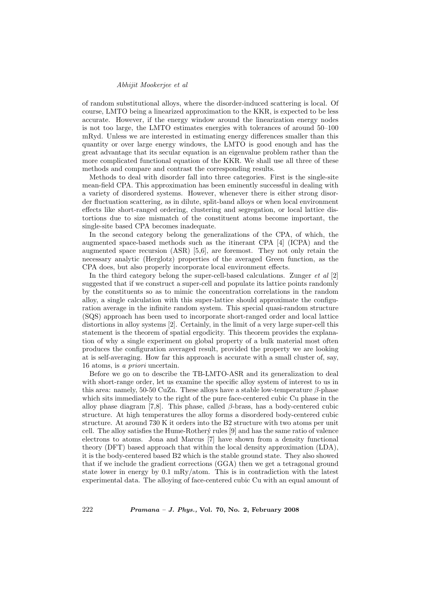of random substitutional alloys, where the disorder-induced scattering is local. Of course, LMTO being a linearized approximation to the KKR, is expected to be less accurate. However, if the energy window around the linearization energy nodes is not too large, the LMTO estimates energies with tolerances of around 50–100 mRyd. Unless we are interested in estimating energy differences smaller than this quantity or over large energy windows, the LMTO is good enough and has the great advantage that its secular equation is an eigenvalue problem rather than the more complicated functional equation of the KKR. We shall use all three of these methods and compare and contrast the corresponding results.

Methods to deal with disorder fall into three categories. First is the single-site mean-field CPA. This approximation has been eminently successful in dealing with a variety of disordered systems. However, whenever there is either strong disorder fluctuation scattering, as in dilute, split-band alloys or when local environment effects like short-ranged ordering, clustering and segregation, or local lattice distortions due to size mismatch of the constituent atoms become important, the single-site based CPA becomes inadequate.

In the second category belong the generalizations of the CPA, of which, the augmented space-based methods such as the itinerant CPA [4] (ICPA) and the augmented space recursion (ASR) [5,6], are foremost. They not only retain the necessary analytic (Herglotz) properties of the averaged Green function, as the CPA does, but also properly incorporate local environment effects.

In the third category belong the super-cell-based calculations. Zunger *et al* [2] suggested that if we construct a super-cell and populate its lattice points randomly by the constituents so as to mimic the concentration correlations in the random alloy, a single calculation with this super-lattice should approximate the configuration average in the infinite random system. This special quasi-random structure (SQS) approach has been used to incorporate short-ranged order and local lattice distortions in alloy systems [2]. Certainly, in the limit of a very large super-cell this statement is the theorem of spatial ergodicity. This theorem provides the explanation of why a single experiment on global property of a bulk material most often produces the configuration averaged result, provided the property we are looking at is self-averaging. How far this approach is accurate with a small cluster of, say, 16 atoms, is a priori uncertain.

Before we go on to describe the TB-LMTO-ASR and its generalization to deal with short-range order, let us examine the specific alloy system of interest to us in this area: namely, 50-50 CuZn. These alloys have a stable low-temperature  $\beta$ -phase which sits immediately to the right of the pure face-centered cubic Cu phase in the alloy phase diagram [7,8]. This phase, called  $\beta$ -brass, has a body-centered cubic structure. At high temperatures the alloy forms a disordered body-centered cubic structure. At around 730 K it orders into the B2 structure with two atoms per unit cell. The alloy satisfies the Hume-Rother´y rules [9] and has the same ratio of valence electrons to atoms. Jona and Marcus [7] have shown from a density functional theory (DFT) based approach that within the local density approximation (LDA), it is the body-centered based B2 which is the stable ground state. They also showed that if we include the gradient corrections (GGA) then we get a tetragonal ground state lower in energy by  $0.1 \text{ mRy/atom}$ . This is in contradiction with the latest experimental data. The alloying of face-centered cubic Cu with an equal amount of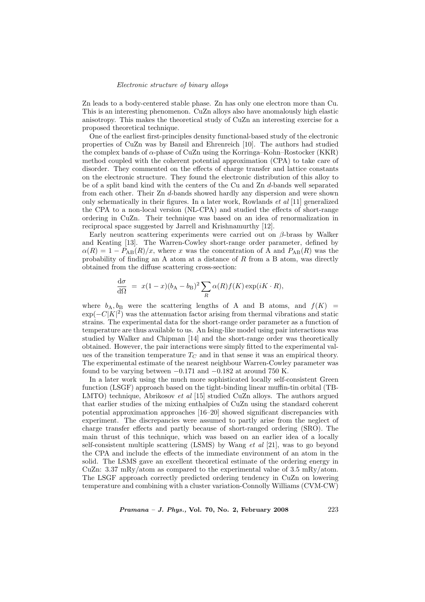Zn leads to a body-centered stable phase. Zn has only one electron more than Cu. This is an interesting phenomenon. CuZn alloys also have anomalously high elastic anisotropy. This makes the theoretical study of CuZn an interesting exercise for a proposed theoretical technique.

One of the earliest first-principles density functional-based study of the electronic properties of CuZn was by Bansil and Ehrenreich [10]. The authors had studied the complex bands of  $\alpha$ -phase of CuZn using the Korringa–Kohn–Rostocker (KKR) method coupled with the coherent potential approximation (CPA) to take care of disorder. They commented on the effects of charge transfer and lattice constants on the electronic structure. They found the electronic distribution of this alloy to be of a split band kind with the centers of the Cu and Zn d-bands well separated from each other. Their Zn d-bands showed hardly any dispersion and were shown only schematically in their figures. In a later work, Rowlands et al [11] generalized the CPA to a non-local version (NL-CPA) and studied the effects of short-range ordering in CuZn. Their technique was based on an idea of renormalization in reciprocal space suggested by Jarrell and Krishnamurthy [12].

Early neutron scattering experiments were carried out on  $\beta$ -brass by Walker and Keating [13]. The Warren-Cowley short-range order parameter, defined by  $\alpha(R) = 1 - P_{AB}(R)/x$ , where x was the concentration of A and  $P_{AB}(R)$  was the probability of finding an A atom at a distance of  $R$  from a B atom, was directly obtained from the diffuse scattering cross-section:

$$
\frac{d\sigma}{d\Omega} = x(1-x)(b_{A} - b_{B})^{2} \sum_{R} \alpha(R) f(K) \exp(iK \cdot R),
$$

where  $b_A$ ,  $b_B$  were the scattering lengths of A and B atoms, and  $f(K)$  =  $\exp(-C|K|^2)$  was the attenuation factor arising from thermal vibrations and static strains. The experimental data for the short-range order parameter as a function of temperature are thus available to us. An Ising-like model using pair interactions was studied by Walker and Chipman [14] and the short-range order was theoretically obtained. However, the pair interactions were simply fitted to the experimental values of the transition temperature  $T_C$  and in that sense it was an empirical theory. The experimental estimate of the nearest neighbour Warren-Cowley parameter was found to be varying between  $-0.171$  and  $-0.182$  at around 750 K.

In a later work using the much more sophisticated locally self-consistent Green function (LSGF) approach based on the tight-binding linear muffin-tin orbital (TB-LMTO) technique, Abrikosov et al [15] studied CuZn alloys. The authors argued that earlier studies of the mixing enthalpies of CuZn using the standard coherent potential approximation approaches [16–20] showed significant discrepancies with experiment. The discrepancies were assumed to partly arise from the neglect of charge transfer effects and partly because of short-ranged ordering (SRO). The main thrust of this technique, which was based on an earlier idea of a locally self-consistent multiple scattering (LSMS) by Wang et al [21], was to go beyond the CPA and include the effects of the immediate environment of an atom in the solid. The LSMS gave an excellent theoretical estimate of the ordering energy in CuZn:  $3.37 \text{ mRy/atom}$  as compared to the experimental value of  $3.5 \text{ mRy/atom}$ . The LSGF approach correctly predicted ordering tendency in CuZn on lowering temperature and combining with a cluster variation-Connolly Williams (CVM-CW)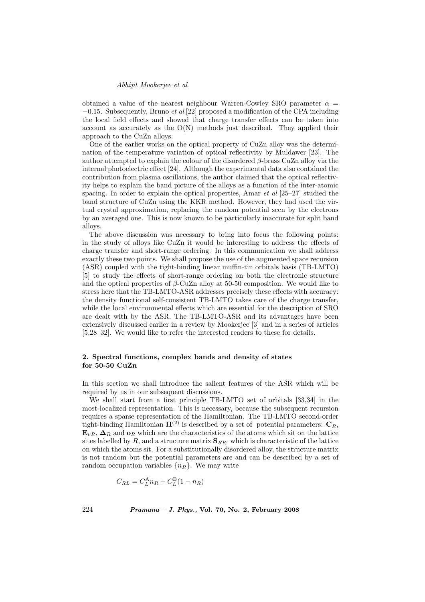obtained a value of the nearest neighbour Warren-Cowley SRO parameter  $\alpha =$  $-0.15$ . Subsequently, Bruno *et al* [22] proposed a modification of the CPA including the local field effects and showed that charge transfer effects can be taken into account as accurately as the  $O(N)$  methods just described. They applied their approach to the CuZn alloys.

One of the earlier works on the optical property of CuZn alloy was the determination of the temperature variation of optical reflectivity by Muldawer [23]. The author attempted to explain the colour of the disordered  $\beta$ -brass CuZn alloy via the internal photoelectric effect [24]. Although the experimental data also contained the contribution from plasma oscillations, the author claimed that the optical reflectivity helps to explain the band picture of the alloys as a function of the inter-atomic spacing. In order to explain the optical properties, Amar et al [25–27] studied the band structure of CuZn using the KKR method. However, they had used the virtual crystal approximation, replacing the random potential seen by the electrons by an averaged one. This is now known to be particularly inaccurate for split band alloys.

The above discussion was necessary to bring into focus the following points: in the study of alloys like CuZn it would be interesting to address the effects of charge transfer and short-range ordering. In this communication we shall address exactly these two points. We shall propose the use of the augmented space recursion (ASR) coupled with the tight-binding linear muffin-tin orbitals basis (TB-LMTO) [5] to study the effects of short-range ordering on both the electronic structure and the optical properties of  $\beta$ -CuZn alloy at 50-50 composition. We would like to stress here that the TB-LMTO-ASR addresses precisely these effects with accuracy: the density functional self-consistent TB-LMTO takes care of the charge transfer, while the local environmental effects which are essential for the description of SRO are dealt with by the ASR. The TB-LMTO-ASR and its advantages have been extensively discussed earlier in a review by Mookerjee [3] and in a series of articles [5,28–32]. We would like to refer the interested readers to these for details.

# 2. Spectral functions, complex bands and density of states for 50-50 CuZn

In this section we shall introduce the salient features of the ASR which will be required by us in our subsequent discussions.

We shall start from a first principle TB-LMTO set of orbitals [33,34] in the most-localized representation. This is necessary, because the subsequent recursion requires a sparse representation of the Hamiltonian. The TB-LMTO second-order tight-binding Hamiltonian  $\mathbf{H}^{(2)}$  is described by a set of potential parameters:  $\mathbf{C}_R$ ,  $\mathbf{E}_{\nu R}$ ,  $\mathbf{\Delta}_R$  and  $\mathbf{o}_R$  which are the characteristics of the atoms which sit on the lattice sites labelled by R, and a structure matrix  $S_{RR'}$  which is characteristic of the lattice on which the atoms sit. For a substitutionally disordered alloy, the structure matrix is not random but the potential parameters are and can be described by a set of random occupation variables  $\{n_R\}$ . We may write

$$
C_{RL} = C_L^{\text{A}} n_R + C_L^{\text{B}} (1 - n_R)
$$

 $\overline{a}$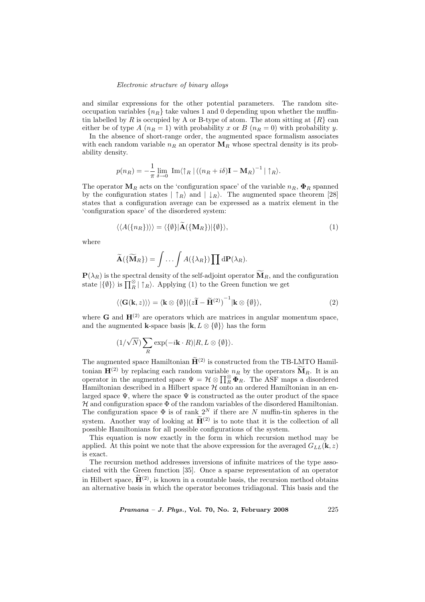and similar expressions for the other potential parameters. The random siteoccupation variables  ${n_R}$  take values 1 and 0 depending upon whether the muffintin labelled by R is occupied by A or B-type of atom. The atom sitting at  $\{R\}$  can either be of type A ( $n_R = 1$ ) with probability x or B ( $n_R = 0$ ) with probability y.

In the absence of short-range order, the augmented space formalism associates with each random variable  $n_R$  an operator  $M_R$  whose spectral density is its probability density.

$$
p(n_R) = -\frac{1}{\pi} \lim_{\delta \to 0} \operatorname{Im} \langle \uparrow_R \mid ((n_R + i\delta) \mathbf{I} - \mathbf{M}_R)^{-1} \mid \uparrow_R \rangle.
$$

The operator  $\mathbf{M}_R$  acts on the 'configuration space' of the variable  $n_R$ ,  $\Phi_R$  spanned by the configuration states  $|\uparrow_R\rangle$  and  $|\downarrow_R\rangle$ . The augmented space theorem [28] states that a configuration average can be expressed as a matrix element in the 'configuration space' of the disordered system:

$$
\langle \langle A(\{n_R\}) \rangle \rangle = \langle \{\emptyset\} | \widetilde{\mathbf{A}}(\{\mathbf{M}_R\}) | \{\emptyset\} \rangle, \tag{1}
$$

where

$$
\widetilde{\mathbf{A}}(\{\widetilde{\mathbf{M}}_R\}) = \int \ldots \int A(\{\lambda_R\}) \prod d\mathbf{P}(\lambda_R).
$$

 ${\bf P}(\lambda_R)$  is the spectral density of the self-adjoint operator  ${\bf M}_R$ , and the configuration **s** ( $\langle A_R \rangle$ ) is the spectral density of the sen-adjoint operator  $M_R$ , and the state  $|\{\emptyset\}\rangle$  is  $\prod_R^{\infty}|\uparrow_R\rangle$ . Applying (1) to the Green function we get

$$
\langle\langle \mathbf{G}(\mathbf{k},z)\rangle\rangle = \langle \mathbf{k}\otimes\{\emptyset\} |(z\widetilde{\mathbf{I}} - \widetilde{\mathbf{H}}^{(2)})^{-1} | \mathbf{k}\otimes\{\emptyset\}\rangle, \tag{2}
$$

where **G** and  $\mathbf{H}^{(2)}$  are operators which are matrices in angular momentum space, and the augmented k-space basis  $|{\bf k}, L \otimes \{\emptyset\}\rangle$  has the form

$$
(1/\sqrt{N})\sum_{R}\exp(-i\mathbf{k}\cdot R)|R,L\otimes\{\emptyset\}\rangle.
$$

The augmented space Hamiltonian  $\widetilde{H}^{(2)}$  is constructed from the TB-LMTO Hamiltonian  $\mathbf{H}^{(2)}$  by replacing each random variable  $n_R$  by the operators  $\widetilde{\mathbf{M}}_R$ . It is an operator in the augmented space  $\Psi = \mathcal{H} \otimes \prod_R^{\otimes} \Phi_R$ . The ASF maps a disordered Hamiltonian described in a Hilbert space  $\mathcal{H}$  onto an ordered Hamiltonian in an enlarged space  $\Psi$ , where the space  $\Psi$  is constructed as the outer product of the space  $H$  and configuration space  $\Phi$  of the random variables of the disordered Hamiltonian. The configuration space  $\Phi$  is of rank  $2^N$  if there are N muffin-tin spheres in the system. Another way of looking at  $\widetilde{H}^{(2)}$  is to note that it is the collection of all possible Hamiltonians for all possible configurations of the system.

This equation is now exactly in the form in which recursion method may be applied. At this point we note that the above expression for the averaged  $G_{LL}(\mathbf{k}, z)$ is exact.

The recursion method addresses inversions of infinite matrices of the type associated with the Green function [35]. Once a sparse representation of an operator in Hilbert space,  $\mathbf{H}^{(2)}$ , is known in a countable basis, the recursion method obtains an alternative basis in which the operator becomes tridiagonal. This basis and the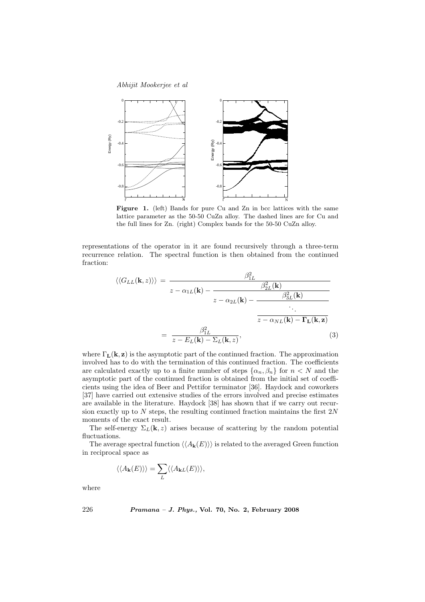

Figure 1. (left) Bands for pure Cu and Zn in bcc lattices with the same lattice parameter as the 50-50 CuZn alloy. The dashed lines are for Cu and the full lines for Zn. (right) Complex bands for the 50-50 CuZn alloy.

representations of the operator in it are found recursively through a three-term recurrence relation. The spectral function is then obtained from the continued fraction:

$$
\langle\langle G_{LL}(\mathbf{k},z)\rangle\rangle = \frac{\beta_{1L}^2}{z - \alpha_{1L}(\mathbf{k}) - \frac{\beta_{2L}^2(\mathbf{k})}{z - \alpha_{2L}(\mathbf{k}) - \frac{\beta_{3L}^2(\mathbf{k})}{z - \alpha_{NL}(\mathbf{k}) - \Gamma_L(\mathbf{k},z)}}
$$

$$
= \frac{\beta_{1L}^2}{z - E_L(\mathbf{k}) - \Sigma_L(\mathbf{k},z)},
$$
(3)

where  $\Gamma_{\mathbf{L}}(\mathbf{k}, \mathbf{z})$  is the asymptotic part of the continued fraction. The approximation involved has to do with the termination of this continued fraction. The coefficients are calculated exactly up to a finite number of steps  $\{\alpha_n, \beta_n\}$  for  $n < N$  and the asymptotic part of the continued fraction is obtained from the initial set of coefficients using the idea of Beer and Pettifor terminator [36]. Haydock and coworkers [37] have carried out extensive studies of the errors involved and precise estimates are available in the literature. Haydock [38] has shown that if we carry out recursion exactly up to  $N$  steps, the resulting continued fraction maintains the first  $2N$ moments of the exact result.

The self-energy  $\Sigma_L(\mathbf{k}, z)$  arises because of scattering by the random potential fluctuations.

The average spectral function  $\langle A_{\mathbf{k}}(E)\rangle$  is related to the averaged Green function in reciprocal space as

$$
\langle \langle A_{\mathbf{k}}(E) \rangle \rangle = \sum_{L} \langle \langle A_{\mathbf{k}L}(E) \rangle \rangle,
$$

where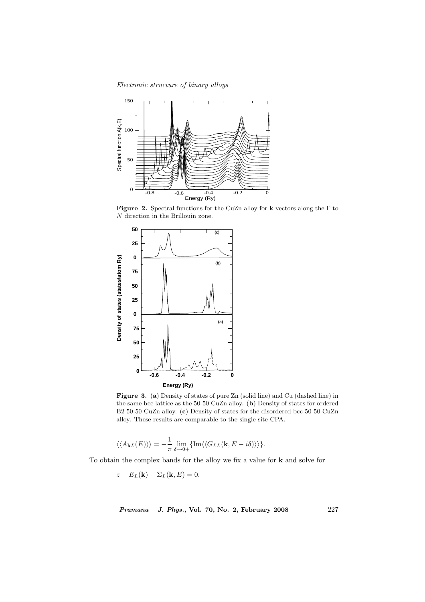Electronic structure of binary alloys



Figure 2. Spectral functions for the CuZn alloy for k-vectors along the Γ to N direction in the Brillouin zone.



Figure 3. (a) Density of states of pure Zn (solid line) and Cu (dashed line) in the same bcc lattice as the 50-50 CuZn alloy. (b) Density of states for ordered B2 50-50 CuZn alloy. (c) Density of states for the disordered bcc 50-50 CuZn alloy. These results are comparable to the single-site CPA.

$$
\langle \langle A_{\mathbf{k}L}(E) \rangle \rangle = -\frac{1}{\pi} \lim_{\delta \to 0+} \{ \text{Im} \langle \langle G_{LL}(\mathbf{k}, E - i\delta) \rangle \rangle \}.
$$

To obtain the complex bands for the alloy we fix a value for k and solve for

$$
z - E_L(\mathbf{k}) - \Sigma_L(\mathbf{k}, E) = 0.
$$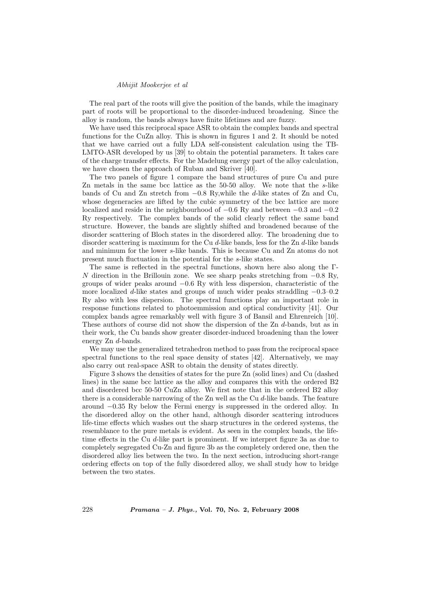The real part of the roots will give the position of the bands, while the imaginary part of roots will be proportional to the disorder-induced broadening. Since the alloy is random, the bands always have finite lifetimes and are fuzzy.

We have used this reciprocal space ASR to obtain the complex bands and spectral functions for the CuZn alloy. This is shown in figures 1 and 2. It should be noted that we have carried out a fully LDA self-consistent calculation using the TB-LMTO-ASR developed by us [39] to obtain the potential parameters. It takes care of the charge transfer effects. For the Madelung energy part of the alloy calculation, we have chosen the approach of Ruban and Skriver [40].

The two panels of figure 1 compare the band structures of pure Cu and pure Zn metals in the same bcc lattice as the  $50-50$  alloy. We note that the s-like bands of Cu and Zn stretch from −0.8 Ry,while the d-like states of Zn and Cu, whose degeneracies are lifted by the cubic symmetry of the bcc lattice are more localized and reside in the neighbourhood of −0.6 Ry and between −0.3 and −0.2 Ry respectively. The complex bands of the solid clearly reflect the same band structure. However, the bands are slightly shifted and broadened because of the disorder scattering of Bloch states in the disordered alloy. The broadening due to disorder scattering is maximum for the Cu d-like bands, less for the Zn d-like bands and minimum for the lower s-like bands. This is because Cu and Zn atoms do not present much fluctuation in the potential for the s-like states.

The same is reflected in the spectral functions, shown here also along the Γ-N direction in the Brillouin zone. We see sharp peaks stretching from  $-0.8 \text{ Ry}$ , groups of wider peaks around −0.6 Ry with less dispersion, characteristic of the more localized d-like states and groups of much wider peaks straddling −0.3–0.2 Ry also with less dispersion. The spectral functions play an important role in response functions related to photoemmission and optical conductivity [41]. Our complex bands agree remarkably well with figure 3 of Bansil and Ehrenreich [10]. These authors of course did not show the dispersion of the Zn d-bands, but as in their work, the Cu bands show greater disorder-induced broadening than the lower energy Zn d-bands.

We may use the generalized tetrahedron method to pass from the reciprocal space spectral functions to the real space density of states [42]. Alternatively, we may also carry out real-space ASR to obtain the density of states directly.

Figure 3 shows the densities of states for the pure Zn (solid lines) and Cu (dashed lines) in the same bcc lattice as the alloy and compares this with the ordered B2 and disordered bcc 50-50 CuZn alloy. We first note that in the ordered B2 alloy there is a considerable narrowing of the  $Zn$  well as the  $Cu$  d-like bands. The feature around −0.35 Ry below the Fermi energy is suppressed in the ordered alloy. In the disordered alloy on the other hand, although disorder scattering introduces life-time effects which washes out the sharp structures in the ordered systems, the resemblance to the pure metals is evident. As seen in the complex bands, the lifetime effects in the Cu d-like part is prominent. If we interpret figure 3a as due to completely segregated Cu-Zn and figure 3b as the completely ordered one, then the disordered alloy lies between the two. In the next section, introducing short-range ordering effects on top of the fully disordered alloy, we shall study how to bridge between the two states.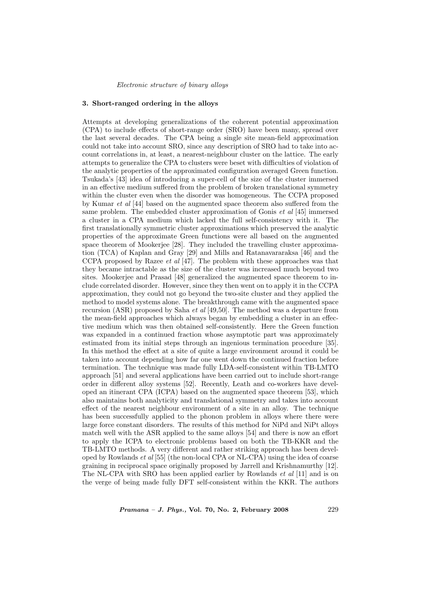## 3. Short-ranged ordering in the alloys

Attempts at developing generalizations of the coherent potential approximation (CPA) to include effects of short-range order (SRO) have been many, spread over the last several decades. The CPA being a single site mean-field approximation could not take into account SRO, since any description of SRO had to take into account correlations in, at least, a nearest-neighbour cluster on the lattice. The early attempts to generalize the CPA to clusters were beset with difficulties of violation of the analytic properties of the approximated configuration averaged Green function. Tsukada's [43] idea of introducing a super-cell of the size of the cluster immersed in an effective medium suffered from the problem of broken translational symmetry within the cluster even when the disorder was homogeneous. The CCPA proposed by Kumar et al [44] based on the augmented space theorem also suffered from the same problem. The embedded cluster approximation of Gonis et al [45] immersed a cluster in a CPA medium which lacked the full self-consistency with it. The first translationally symmetric cluster approximations which preserved the analytic properties of the approximate Green functions were all based on the augmented space theorem of Mookerjee [28]. They included the travelling cluster approximation (TCA) of Kaplan and Gray [29] and Mills and Ratanavararaksa [46] and the CCPA proposed by Razee et al [47]. The problem with these approaches was that they became intractable as the size of the cluster was increased much beyond two sites. Mookerjee and Prasad [48] generalized the augmented space theorem to include correlated disorder. However, since they then went on to apply it in the CCPA approximation, they could not go beyond the two-site cluster and they applied the method to model systems alone. The breakthrough came with the augmented space recursion (ASR) proposed by Saha et al [49,50]. The method was a departure from the mean-field approaches which always began by embedding a cluster in an effective medium which was then obtained self-consistently. Here the Green function was expanded in a continued fraction whose asymptotic part was approximately estimated from its initial steps through an ingenious termination procedure [35]. In this method the effect at a site of quite a large environment around it could be taken into account depending how far one went down the continued fraction before termination. The technique was made fully LDA-self-consistent within TB-LMTO approach [51] and several applications have been carried out to include short-range order in different alloy systems [52]. Recently, Leath and co-workers have developed an itinerant CPA (ICPA) based on the augmented space theorem [53], which also maintains both analyticity and translational symmetry and takes into account effect of the nearest neighbour environment of a site in an alloy. The technique has been successfully applied to the phonon problem in alloys where there were large force constant disorders. The results of this method for NiPd and NiPt alloys match well with the ASR applied to the same alloys [54] and there is now an effort to apply the ICPA to electronic problems based on both the TB-KKR and the TB-LMTO methods. A very different and rather striking approach has been developed by Rowlands et al [55] (the non-local CPA or NL-CPA) using the idea of coarse graining in reciprocal space originally proposed by Jarrell and Krishnamurthy [12]. The NL-CPA with SRO has been applied earlier by Rowlands et al [11] and is on the verge of being made fully DFT self-consistent within the KKR. The authors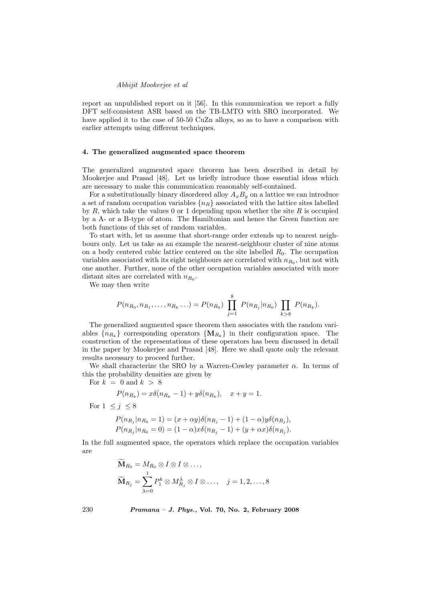report an unpublished report on it [56]. In this communication we report a fully DFT self-consistent ASR based on the TB-LMTO with SRO incorporated. We have applied it to the case of 50-50 CuZn alloys, so as to have a comparison with earlier attempts using different techniques.

# 4. The generalized augmented space theorem

The generalized augmented space theorem has been described in detail by Mookerjee and Prasad [48]. Let us briefly introduce those essential ideas which are necessary to make this communication reasonably self-contained.

For a substitutionally binary disordered alloy  $A_xB_y$  on a lattice we can introduce a set of random occupation variables  ${n_R}$  associated with the lattice sites labelled by  $R$ , which take the values 0 or 1 depending upon whether the site  $R$  is occupied by a A- or a B-type of atom. The Hamiltonian and hence the Green function are both functions of this set of random variables.

To start with, let us assume that short-range order extends up to nearest neighbours only. Let us take as an example the nearest-neighbour cluster of nine atoms on a body centered cubic lattice centered on the site labelled  $R_0$ . The occupation variables associated with its eight neighbours are correlated with  $n_{R_0}$ , but not with one another. Further, none of the other occupation variables associated with more distant sites are correlated with  $n_{R_0}$ .

We may then write

$$
P(n_{R_0}, n_{R_1}, \ldots, n_{R_k} \ldots) = P(n_{R_0}) \prod_{j=1}^8 P(n_{R_j} | n_{R_0}) \prod_{k > 8} P(n_{R_k}).
$$

The generalized augmented space theorem then associates with the random variables  $\{n_{R_k}\}\$  corresponding operators  $\{M_{R_k}\}\$ in their configuration space. The construction of the representations of these operators has been discussed in detail in the paper by Mookerjee and Prasad [48]. Here we shall quote only the relevant results necessary to proceed further.

We shall characterize the SRO by a Warren-Cowley parameter  $\alpha$ . In terms of this the probability densities are given by

For  $k = 0$  and  $k > 8$ 

$$
P(n_{R_k}) = x\delta(n_{R_k} - 1) + y\delta(n_{R_k}), \quad x + y = 1.
$$

For  $1 \leq j \leq 8$ 

$$
P(n_{R_j}|n_{R_0} = 1) = (x + \alpha y)\delta(n_{R_j} - 1) + (1 - \alpha)y\delta(n_{R_j}),
$$
  

$$
P(n_{R_j}|n_{R_0} = 0) = (1 - \alpha)x\delta(n_{R_j} - 1) + (y + \alpha x)\delta(n_{R_j}).
$$

In the full augmented space, the operators which replace the occupation variables are

$$
\widetilde{M}_{R_0} = M_{R_0} \otimes I \otimes I \otimes \dots,
$$
  

$$
\widetilde{M}_{R_j} = \sum_{\lambda=0}^{1} P_1^k \otimes M_{R_j}^{\lambda} \otimes I \otimes \dots, \quad j = 1, 2, \dots, 8
$$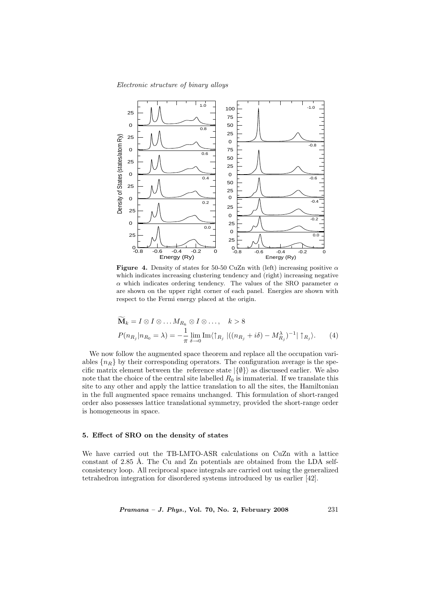

Figure 4. Density of states for 50-50 CuZn with (left) increasing positive  $\alpha$ which indicates increasing clustering tendency and (right) increasing negative  $\alpha$  which indicates ordering tendency. The values of the SRO parameter  $\alpha$ are shown on the upper right corner of each panel. Energies are shown with respect to the Fermi energy placed at the origin.

$$
\widetilde{\mathbf{M}}_k = I \otimes I \otimes \dots M_{R_k} \otimes I \otimes \dots, \quad k > 8
$$
\n
$$
P(n_{R_j}|n_{R_0} = \lambda) = -\frac{1}{\pi} \lim_{\delta \to 0} \text{Im} \langle \uparrow_{R_j} | ((n_{R_j} + i\delta) - M_{R_j}^{\lambda})^{-1} | \uparrow_{R_j} \rangle. \tag{4}
$$

We now follow the augmented space theorem and replace all the occupation variables  $\{n_R\}$  by their corresponding operators. The configuration average is the specific matrix element between the reference state  $|\{\emptyset\}\rangle$  as discussed earlier. We also note that the choice of the central site labelled  $R_0$  is immaterial. If we translate this site to any other and apply the lattice translation to all the sites, the Hamiltonian in the full augmented space remains unchanged. This formulation of short-ranged order also possesses lattice translational symmetry, provided the short-range order is homogeneous in space.

# 5. Effect of SRO on the density of states

We have carried out the TB-LMTO-ASR calculations on CuZn with a lattice constant of 2.85 Å. The Cu and Zn potentials are obtained from the LDA selfconsistency loop. All reciprocal space integrals are carried out using the generalized tetrahedron integration for disordered systems introduced by us earlier [42].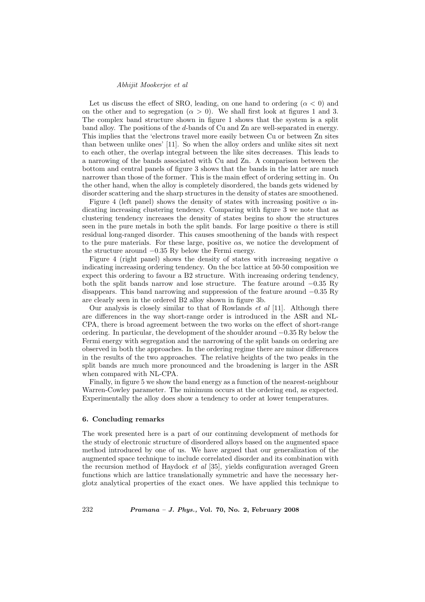Let us discuss the effect of SRO, leading, on one hand to ordering ( $\alpha < 0$ ) and on the other and to segregation ( $\alpha > 0$ ). We shall first look at figures 1 and 3. The complex band structure shown in figure 1 shows that the system is a split band alloy. The positions of the d-bands of Cu and Zn are well-separated in energy. This implies that the 'electrons travel more easily between Cu or between Zn sites than between unlike ones' [11]. So when the alloy orders and unlike sites sit next to each other, the overlap integral between the like sites decreases. This leads to a narrowing of the bands associated with Cu and Zn. A comparison between the bottom and central panels of figure 3 shows that the bands in the latter are much narrower than those of the former. This is the main effect of ordering setting in. On the other hand, when the alloy is completely disordered, the bands gets widened by disorder scattering and the sharp structures in the density of states are smoothened.

Figure 4 (left panel) shows the density of states with increasing positive  $\alpha$  indicating increasing clustering tendency. Comparing with figure 3 we note that as clustering tendency increases the density of states begins to show the structures seen in the pure metals in both the split bands. For large positive  $\alpha$  there is still residual long-ranged disorder. This causes smoothening of the bands with respect to the pure materials. For these large, positive  $\alpha s$ , we notice the development of the structure around −0.35 Ry below the Fermi energy.

Figure 4 (right panel) shows the density of states with increasing negative  $\alpha$ indicating increasing ordering tendency. On the bcc lattice at 50-50 composition we expect this ordering to favour a B2 structure. With increasing ordering tendency, both the split bands narrow and lose structure. The feature around −0.35 Ry disappears. This band narrowing and suppression of the feature around −0.35 Ry are clearly seen in the ordered B2 alloy shown in figure 3b.

Our analysis is closely similar to that of Rowlands  $et \ al \ [11]$ . Although there are differences in the way short-range order is introduced in the ASR and NL-CPA, there is broad agreement between the two works on the effect of short-range ordering. In particular, the development of the shoulder around −0.35 Ry below the Fermi energy with segregation and the narrowing of the split bands on ordering are observed in both the approaches. In the ordering regime there are minor differences in the results of the two approaches. The relative heights of the two peaks in the split bands are much more pronounced and the broadening is larger in the ASR when compared with NL-CPA.

Finally, in figure 5 we show the band energy as a function of the nearest-neighbour Warren-Cowley parameter. The minimum occurs at the ordering end, as expected. Experimentally the alloy does show a tendency to order at lower temperatures.

# 6. Concluding remarks

The work presented here is a part of our continuing development of methods for the study of electronic structure of disordered alloys based on the augmented space method introduced by one of us. We have argued that our generalization of the augmented space technique to include correlated disorder and its combination with the recursion method of Haydock  $et \ al \ [35]$ , yields configuration averaged Green functions which are lattice translationally symmetric and have the necessary herglotz analytical properties of the exact ones. We have applied this technique to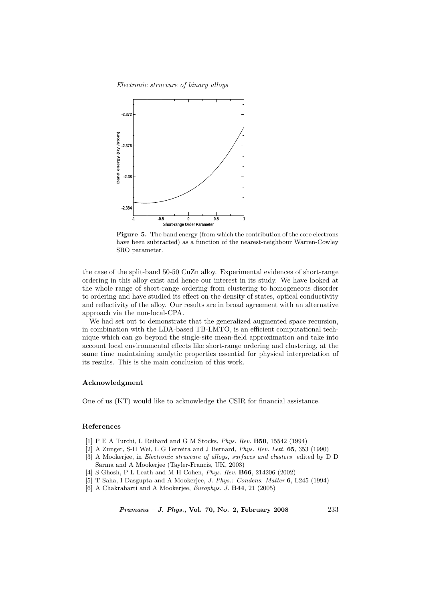Electronic structure of binary alloys



Figure 5. The band energy (from which the contribution of the core electrons have been subtracted) as a function of the nearest-neighbour Warren-Cowley SRO parameter.

the case of the split-band 50-50 CuZn alloy. Experimental evidences of short-range ordering in this alloy exist and hence our interest in its study. We have looked at the whole range of short-range ordering from clustering to homogeneous disorder to ordering and have studied its effect on the density of states, optical conductivity and reflectivity of the alloy. Our results are in broad agreement with an alternative approach via the non-local-CPA.

We had set out to demonstrate that the generalized augmented space recursion, in combination with the LDA-based TB-LMTO, is an efficient computational technique which can go beyond the single-site mean-field approximation and take into account local environmental effects like short-range ordering and clustering, at the same time maintaining analytic properties essential for physical interpretation of its results. This is the main conclusion of this work.

# Acknowledgment

One of us (KT) would like to acknowledge the CSIR for financial assistance.

# References

- [1] P E A Turchi, L Reihard and G M Stocks, Phys. Rev. B50, 15542 (1994)
- [2] A Zunger, S-H Wei, L G Ferreira and J Bernard, Phys. Rev. Lett. 65, 353 (1990)
- [3] A Mookerjee, in Electronic structure of alloys, surfaces and clusters edited by D D Sarma and A Mookerjee (Tayler-Francis, UK, 2003)
- [4] S Ghosh, P L Leath and M H Cohen, Phys. Rev. B66, 214206 (2002)
- [5] T Saha, I Dasgupta and A Mookerjee, J. Phys.: Condens. Matter 6, L245 (1994)
- [6] A Chakrabarti and A Mookerjee, Europhys. J. B44, 21 (2005)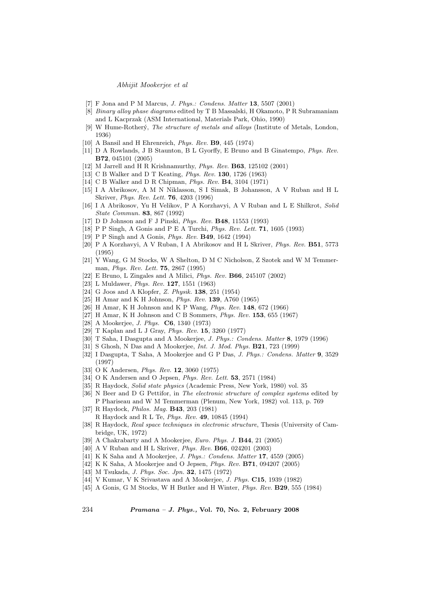- [7] F Jona and P M Marcus, J. Phys.: Condens. Matter 13, 5507 (2001)
- [8] Binary alloy phase diagrams edited by T B Massalski, H Okamoto, P R Subramaniam and L Kacprzak (ASM International, Materials Park, Ohio, 1990)
- [9] W Hume-Rothery, The structure of metals and alloys (Institute of Metals, London, 1936)
- [10] A Bansil and H Ehrenreich, *Phys. Rev.* **B9.** 445 (1974)
- [11] D A Rowlands, J B Staunton, B L Gyorffy, E Bruno and B Ginatempo, Phys. Rev. B72, 045101 (2005)
- [12] M Jarrell and H R Krishnamurthy, *Phys. Rev.* **B63**, 125102 (2001)
- [13] C B Walker and D T Keating, Phys. Rev. 130, 1726 (1963)
- [14] C B Walker and D R Chipman, Phys. Rev. B4, 3104 (1971)
- [15] I A Abrikosov, A M N Niklasson, S I Simak, B Johansson, A V Ruban and H L Skriver, Phys. Rev. Lett. 76, 4203 (1996)
- [16] I A Abrikosov, Yu H Velikov, P A Korzhavyi, A V Ruban and L E Shilkrot, Solid State Commun. 83, 867 (1992)
- [17] D D Johnson and F J Pinski, Phys. Rev. B48, 11553 (1993)
- [18] P P Singh, A Gonis and P E A Turchi, Phys. Rev. Lett. 71, 1605 (1993)
- [19] P P Singh and A Gonis, Phys. Rev. B49, 1642 (1994)
- [20] P A Korzhavyi, A V Ruban, I A Abrikosov and H L Skriver, Phys. Rev. B51, 5773 (1995)
- [21] Y Wang, G M Stocks, W A Shelton, D M C Nicholson, Z Szotek and W M Temmerman, Phys. Rev. Lett. 75, 2867 (1995)
- [22] E Bruno, L Zingales and A Milici, Phys. Rev. B66, 245107 (2002)
- [23] L Muldawer, Phys. Rev. 127, 1551 (1963)
- [24] G Joos and A Klopfer, Z. Physik. 138, 251 (1954)
- [25] H Amar and K H Johnson, Phys. Rev. 139, A760 (1965)
- [26] H Amar, K H Johnson and K P Wang, Phys. Rev. 148, 672 (1966)
- [27] H Amar, K H Johnson and C B Sommers, Phys. Rev. 153, 655 (1967)
- [28] A Mookerjee, J. Phys. C6, 1340 (1973)
- [29] T Kaplan and L J Gray, Phys. Rev. 15, 3260 (1977)
- [30] T Saha, I Dasgupta and A Mookerjee, J. Phys.: Condens. Matter 8, 1979 (1996)
- [31] S Ghosh, N Das and A Mookerjee, Int. J. Mod. Phys. B21, 723 (1999)
- [32] I Dasgupta, T Saha, A Mookerjee and G P Das, J. Phys.: Condens. Matter 9, 3529 (1997)
- [33] O K Andersen, Phys. Rev. 12, 3060 (1975)
- [34] O K Andersen and O Jepsen, *Phys. Rev. Lett.* **53**, 2571 (1984)
- [35] R Haydock, Solid state physics (Academic Press, New York, 1980) vol. 35
- [36] N Beer and D G Pettifor, in The electronic structure of complex systems edited by P Phariseau and W M Temmerman (Plenum, New York, 1982) vol. 113, p. 769
- [37] R Haydock, Philos. Mag. B43, 203 (1981) R Haydock and R L Te, Phys. Rev. 49, 10845 (1994)
- [38] R Haydock, Real space techniques in electronic structure, Thesis (University of Cam-
- bridge, UK, 1972)
- [39] A Chakrabarty and A Mookerjee, Euro. Phys. J. B44, 21 (2005)
- [40] A V Ruban and H L Skriver, Phys. Rev. B66, 024201 (2003)
- [41] K K Saha and A Mookerjee, *J. Phys.: Condens. Matter* **17**, 4559 (2005)
- [42] K K Saha, A Mookerjee and O Jepsen, Phys. Rev. B71, 094207 (2005)
- [43] M Tsukada, *J. Phys. Soc. Jpn.* **32**, 1475 (1972)
- [44] V Kumar, V K Srivastava and A Mookerjee, *J. Phys.* **C15**, 1939 (1982)
- [45] A Gonis, G M Stocks, W H Butler and H Winter, Phys. Rev. B29, 555 (1984)